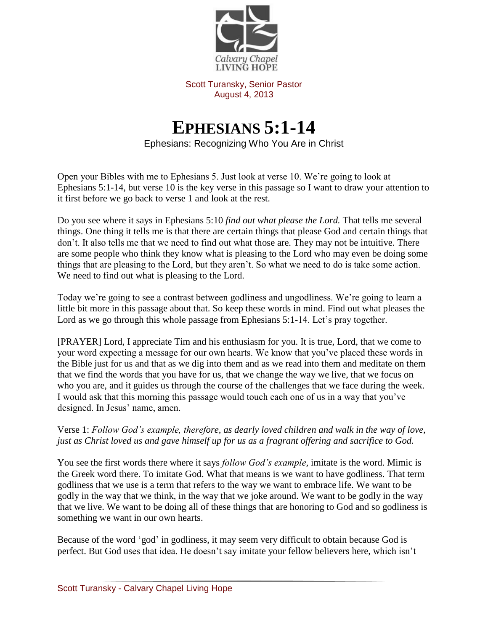

Scott Turansky, Senior Pastor August 4, 2013

## **EPHESIANS 5:1-14**

Ephesians: Recognizing Who You Are in Christ

Open your Bibles with me to Ephesians 5. Just look at verse 10. We're going to look at Ephesians 5:1-14, but verse 10 is the key verse in this passage so I want to draw your attention to it first before we go back to verse 1 and look at the rest.

Do you see where it says in Ephesians 5:10 *find out what please the Lord.* That tells me several things. One thing it tells me is that there are certain things that please God and certain things that don't. It also tells me that we need to find out what those are. They may not be intuitive. There are some people who think they know what is pleasing to the Lord who may even be doing some things that are pleasing to the Lord, but they aren't. So what we need to do is take some action. We need to find out what is pleasing to the Lord.

Today we're going to see a contrast between godliness and ungodliness. We're going to learn a little bit more in this passage about that. So keep these words in mind. Find out what pleases the Lord as we go through this whole passage from Ephesians 5:1-14. Let's pray together.

[PRAYER] Lord, I appreciate Tim and his enthusiasm for you. It is true, Lord, that we come to your word expecting a message for our own hearts. We know that you've placed these words in the Bible just for us and that as we dig into them and as we read into them and meditate on them that we find the words that you have for us, that we change the way we live, that we focus on who you are, and it guides us through the course of the challenges that we face during the week. I would ask that this morning this passage would touch each one of us in a way that you've designed. In Jesus' name, amen.

## Verse 1: *Follow God's example, therefore, as dearly loved children and walk in the way of love, just as Christ loved us and gave himself up for us as a fragrant offering and sacrifice to God.*

You see the first words there where it says *follow God's example,* imitate is the word. Mimic is the Greek word there. To imitate God. What that means is we want to have godliness. That term godliness that we use is a term that refers to the way we want to embrace life. We want to be godly in the way that we think, in the way that we joke around. We want to be godly in the way that we live. We want to be doing all of these things that are honoring to God and so godliness is something we want in our own hearts.

Because of the word 'god' in godliness, it may seem very difficult to obtain because God is perfect. But God uses that idea. He doesn't say imitate your fellow believers here, which isn't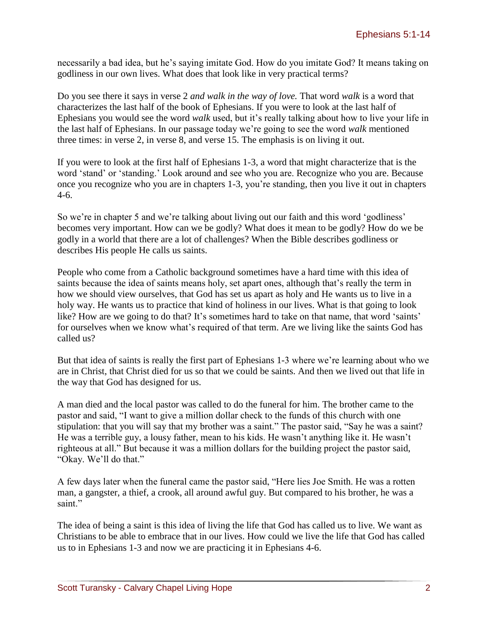necessarily a bad idea, but he's saying imitate God. How do you imitate God? It means taking on godliness in our own lives. What does that look like in very practical terms?

Do you see there it says in verse 2 *and walk in the way of love.* That word *walk* is a word that characterizes the last half of the book of Ephesians. If you were to look at the last half of Ephesians you would see the word *walk* used, but it's really talking about how to live your life in the last half of Ephesians. In our passage today we're going to see the word *walk* mentioned three times: in verse 2, in verse 8, and verse 15. The emphasis is on living it out.

If you were to look at the first half of Ephesians 1-3, a word that might characterize that is the word 'stand' or 'standing.' Look around and see who you are. Recognize who you are. Because once you recognize who you are in chapters 1-3, you're standing, then you live it out in chapters 4-6.

So we're in chapter 5 and we're talking about living out our faith and this word 'godliness' becomes very important. How can we be godly? What does it mean to be godly? How do we be godly in a world that there are a lot of challenges? When the Bible describes godliness or describes His people He calls us saints.

People who come from a Catholic background sometimes have a hard time with this idea of saints because the idea of saints means holy, set apart ones, although that's really the term in how we should view ourselves, that God has set us apart as holy and He wants us to live in a holy way. He wants us to practice that kind of holiness in our lives. What is that going to look like? How are we going to do that? It's sometimes hard to take on that name, that word 'saints' for ourselves when we know what's required of that term. Are we living like the saints God has called us?

But that idea of saints is really the first part of Ephesians 1-3 where we're learning about who we are in Christ, that Christ died for us so that we could be saints. And then we lived out that life in the way that God has designed for us.

A man died and the local pastor was called to do the funeral for him. The brother came to the pastor and said, "I want to give a million dollar check to the funds of this church with one stipulation: that you will say that my brother was a saint." The pastor said, "Say he was a saint? He was a terrible guy, a lousy father, mean to his kids. He wasn't anything like it. He wasn't righteous at all." But because it was a million dollars for the building project the pastor said, "Okay. We'll do that."

A few days later when the funeral came the pastor said, "Here lies Joe Smith. He was a rotten man, a gangster, a thief, a crook, all around awful guy. But compared to his brother, he was a saint."

The idea of being a saint is this idea of living the life that God has called us to live. We want as Christians to be able to embrace that in our lives. How could we live the life that God has called us to in Ephesians 1-3 and now we are practicing it in Ephesians 4-6.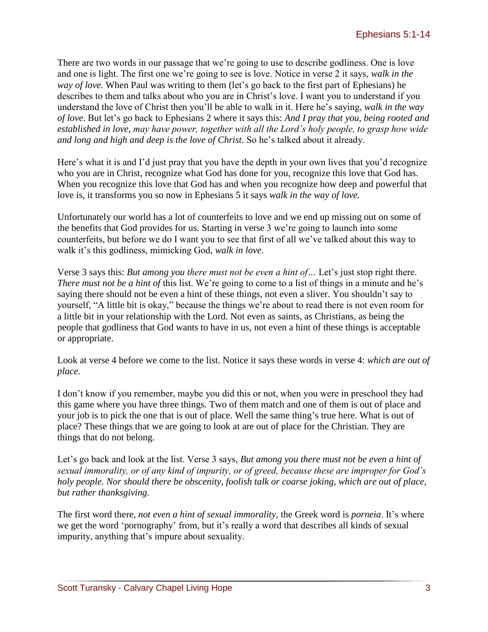There are two words in our passage that we're going to use to describe godliness. One is love and one is light. The first one we're going to see is love. Notice in verse 2 it says, *walk in the way of love.* When Paul was writing to them (let's go back to the first part of Ephesians) he describes to them and talks about who you are in Christ's love. I want you to understand if you understand the love of Christ then you'll be able to walk in it. Here he's saying, *walk in the way of love*. But let's go back to Ephesians 2 where it says this: *And I pray that you, being rooted and established in love, may have power, together with all the Lord's holy people, to grasp how wide and long and high and deep is the love of Christ.* So he's talked about it already.

Here's what it is and I'd just pray that you have the depth in your own lives that you'd recognize who you are in Christ, recognize what God has done for you, recognize this love that God has. When you recognize this love that God has and when you recognize how deep and powerful that love is, it transforms you so now in Ephesians 5 it says *walk in the way of love.* 

Unfortunately our world has a lot of counterfeits to love and we end up missing out on some of the benefits that God provides for us. Starting in verse 3 we're going to launch into some counterfeits, but before we do I want you to see that first of all we've talked about this way to walk it's this godliness, mimicking God, *walk in love*.

Verse 3 says this: *But among you there must not be even a hint of…* Let's just stop right there. *There must not be a hint of this list.* We're going to come to a list of things in a minute and he's saying there should not be even a hint of these things, not even a sliver. You shouldn't say to yourself, "A little bit is okay," because the things we're about to read there is not even room for a little bit in your relationship with the Lord. Not even as saints, as Christians, as being the people that godliness that God wants to have in us, not even a hint of these things is acceptable or appropriate.

Look at verse 4 before we come to the list. Notice it says these words in verse 4: *which are out of place.* 

I don't know if you remember, maybe you did this or not, when you were in preschool they had this game where you have three things. Two of them match and one of them is out of place and your job is to pick the one that is out of place. Well the same thing's true here. What is out of place? These things that we are going to look at are out of place for the Christian. They are things that do not belong.

Let's go back and look at the list. Verse 3 says, *But among you there must not be even a hint of sexual immorality, or of any kind of impurity, or of greed, because these are improper for God's holy people. Nor should there be obscenity, foolish talk or coarse joking, which are out of place, but rather thanksgiving.* 

The first word there, *not even a hint of sexual immorality,* the Greek word is *porneia*. It's where we get the word 'pornography' from, but it's really a word that describes all kinds of sexual impurity, anything that's impure about sexuality.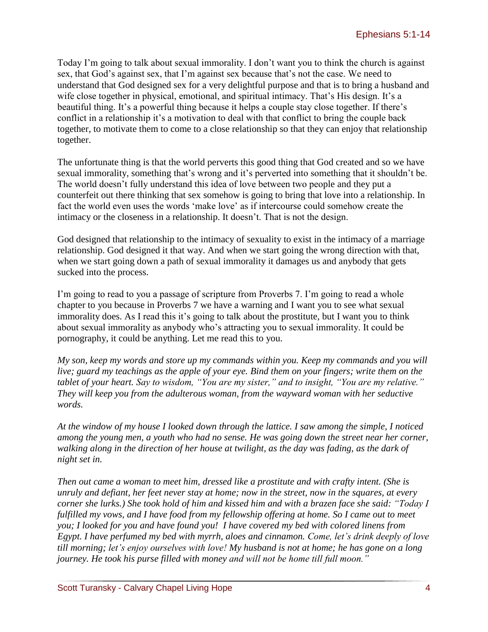Today I'm going to talk about sexual immorality. I don't want you to think the church is against sex, that God's against sex, that I'm against sex because that's not the case. We need to understand that God designed sex for a very delightful purpose and that is to bring a husband and wife close together in physical, emotional, and spiritual intimacy. That's His design. It's a beautiful thing. It's a powerful thing because it helps a couple stay close together. If there's conflict in a relationship it's a motivation to deal with that conflict to bring the couple back together, to motivate them to come to a close relationship so that they can enjoy that relationship together.

The unfortunate thing is that the world perverts this good thing that God created and so we have sexual immorality, something that's wrong and it's perverted into something that it shouldn't be. The world doesn't fully understand this idea of love between two people and they put a counterfeit out there thinking that sex somehow is going to bring that love into a relationship. In fact the world even uses the words 'make love' as if intercourse could somehow create the intimacy or the closeness in a relationship. It doesn't. That is not the design.

God designed that relationship to the intimacy of sexuality to exist in the intimacy of a marriage relationship. God designed it that way. And when we start going the wrong direction with that, when we start going down a path of sexual immorality it damages us and anybody that gets sucked into the process.

I'm going to read to you a passage of scripture from Proverbs 7. I'm going to read a whole chapter to you because in Proverbs 7 we have a warning and I want you to see what sexual immorality does. As I read this it's going to talk about the prostitute, but I want you to think about sexual immorality as anybody who's attracting you to sexual immorality. It could be pornography, it could be anything. Let me read this to you.

*My son, keep my words and store up my commands within you. Keep my commands and you will live; guard my teachings as the apple of your eye. Bind them on your fingers; write them on the tablet of your heart. Say to wisdom, "You are my sister," and to insight, "You are my relative." They will keep you from the adulterous woman, from the wayward woman with her seductive words.*

*At the window of my house I looked down through the lattice. I saw among the simple, I noticed among the young men, a youth who had no sense. He was going down the street near her corner, walking along in the direction of her house at twilight, as the day was fading, as the dark of night set in.*

*Then out came a woman to meet him, dressed like a prostitute and with crafty intent. (She is unruly and defiant, her feet never stay at home; now in the street, now in the squares, at every corner she lurks.) She took hold of him and kissed him and with a brazen face she said: "Today I fulfilled my vows, and I have food from my fellowship offering at home. So I came out to meet you; I looked for you and have found you! I have covered my bed with colored linens from Egypt. I have perfumed my bed with myrrh, aloes and cinnamon. Come, let's drink deeply of love till morning; let's enjoy ourselves with love! My husband is not at home; he has gone on a long journey. He took his purse filled with money and will not be home till full moon."*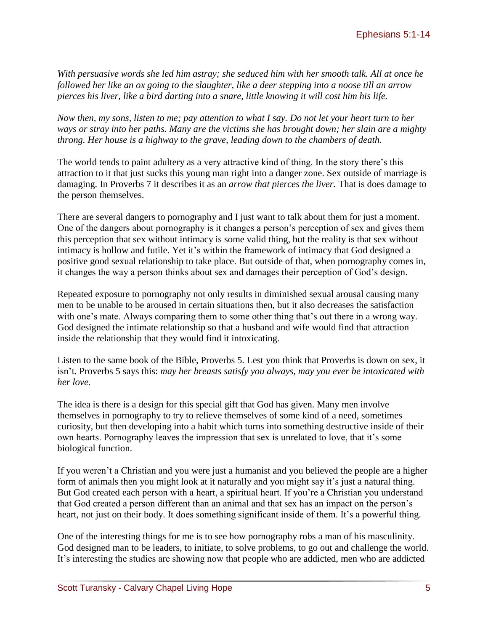*With persuasive words she led him astray; she seduced him with her smooth talk. All at once he followed her like an ox going to the slaughter, like a deer stepping into a noose till an arrow pierces his liver, like a bird darting into a snare, little knowing it will cost him his life.*

*Now then, my sons, listen to me; pay attention to what I say. Do not let your heart turn to her ways or stray into her paths. Many are the victims she has brought down; her slain are a mighty throng. Her house is a highway to the grave, leading down to the chambers of death.*

The world tends to paint adultery as a very attractive kind of thing. In the story there's this attraction to it that just sucks this young man right into a danger zone. Sex outside of marriage is damaging. In Proverbs 7 it describes it as an *arrow that pierces the liver.* That is does damage to the person themselves.

There are several dangers to pornography and I just want to talk about them for just a moment. One of the dangers about pornography is it changes a person's perception of sex and gives them this perception that sex without intimacy is some valid thing, but the reality is that sex without intimacy is hollow and futile. Yet it's within the framework of intimacy that God designed a positive good sexual relationship to take place. But outside of that, when pornography comes in, it changes the way a person thinks about sex and damages their perception of God's design.

Repeated exposure to pornography not only results in diminished sexual arousal causing many men to be unable to be aroused in certain situations then, but it also decreases the satisfaction with one's mate. Always comparing them to some other thing that's out there in a wrong way. God designed the intimate relationship so that a husband and wife would find that attraction inside the relationship that they would find it intoxicating.

Listen to the same book of the Bible, Proverbs 5. Lest you think that Proverbs is down on sex, it isn't. Proverbs 5 says this: *may her breasts satisfy you always, may you ever be intoxicated with her love.*

The idea is there is a design for this special gift that God has given. Many men involve themselves in pornography to try to relieve themselves of some kind of a need, sometimes curiosity, but then developing into a habit which turns into something destructive inside of their own hearts. Pornography leaves the impression that sex is unrelated to love, that it's some biological function.

If you weren't a Christian and you were just a humanist and you believed the people are a higher form of animals then you might look at it naturally and you might say it's just a natural thing. But God created each person with a heart, a spiritual heart. If you're a Christian you understand that God created a person different than an animal and that sex has an impact on the person's heart, not just on their body. It does something significant inside of them. It's a powerful thing.

One of the interesting things for me is to see how pornography robs a man of his masculinity. God designed man to be leaders, to initiate, to solve problems, to go out and challenge the world. It's interesting the studies are showing now that people who are addicted, men who are addicted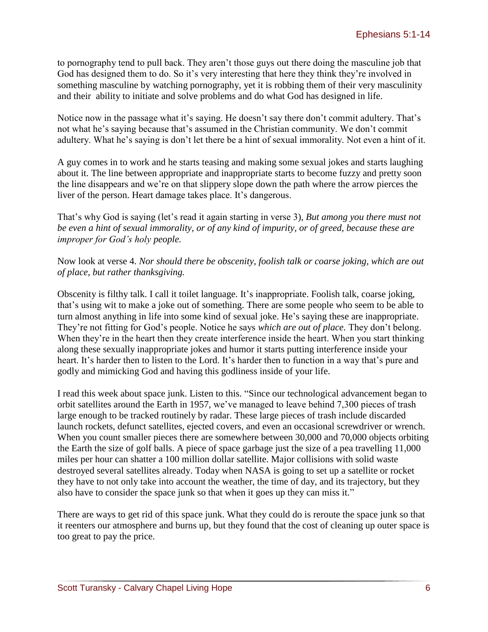to pornography tend to pull back. They aren't those guys out there doing the masculine job that God has designed them to do. So it's very interesting that here they think they're involved in something masculine by watching pornography, yet it is robbing them of their very masculinity and their ability to initiate and solve problems and do what God has designed in life.

Notice now in the passage what it's saying. He doesn't say there don't commit adultery. That's not what he's saying because that's assumed in the Christian community. We don't commit adultery. What he's saying is don't let there be a hint of sexual immorality. Not even a hint of it.

A guy comes in to work and he starts teasing and making some sexual jokes and starts laughing about it. The line between appropriate and inappropriate starts to become fuzzy and pretty soon the line disappears and we're on that slippery slope down the path where the arrow pierces the liver of the person. Heart damage takes place. It's dangerous.

That's why God is saying (let's read it again starting in verse 3), *But among you there must not be even a hint of sexual immorality, or of any kind of impurity, or of greed, because these are improper for God's holy people.* 

Now look at verse 4. *Nor should there be obscenity, foolish talk or coarse joking, which are out of place, but rather thanksgiving.*

Obscenity is filthy talk. I call it toilet language. It's inappropriate. Foolish talk, coarse joking, that's using wit to make a joke out of something. There are some people who seem to be able to turn almost anything in life into some kind of sexual joke. He's saying these are inappropriate. They're not fitting for God's people. Notice he says *which are out of place.* They don't belong. When they're in the heart then they create interference inside the heart. When you start thinking along these sexually inappropriate jokes and humor it starts putting interference inside your heart. It's harder then to listen to the Lord. It's harder then to function in a way that's pure and godly and mimicking God and having this godliness inside of your life.

I read this week about space junk. Listen to this. "Since our technological advancement began to orbit satellites around the Earth in 1957, we've managed to leave behind 7,300 pieces of trash large enough to be tracked routinely by radar. These large pieces of trash include discarded launch rockets, defunct satellites, ejected covers, and even an occasional screwdriver or wrench. When you count smaller pieces there are somewhere between 30,000 and 70,000 objects orbiting the Earth the size of golf balls. A piece of space garbage just the size of a pea travelling 11,000 miles per hour can shatter a 100 million dollar satellite. Major collisions with solid waste destroyed several satellites already. Today when NASA is going to set up a satellite or rocket they have to not only take into account the weather, the time of day, and its trajectory, but they also have to consider the space junk so that when it goes up they can miss it."

There are ways to get rid of this space junk. What they could do is reroute the space junk so that it reenters our atmosphere and burns up, but they found that the cost of cleaning up outer space is too great to pay the price.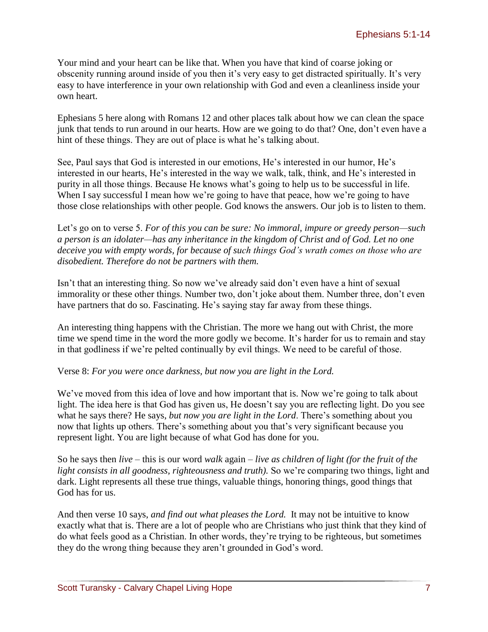Your mind and your heart can be like that. When you have that kind of coarse joking or obscenity running around inside of you then it's very easy to get distracted spiritually. It's very easy to have interference in your own relationship with God and even a cleanliness inside your own heart.

Ephesians 5 here along with Romans 12 and other places talk about how we can clean the space junk that tends to run around in our hearts. How are we going to do that? One, don't even have a hint of these things. They are out of place is what he's talking about.

See, Paul says that God is interested in our emotions, He's interested in our humor, He's interested in our hearts, He's interested in the way we walk, talk, think, and He's interested in purity in all those things. Because He knows what's going to help us to be successful in life. When I say successful I mean how we're going to have that peace, how we're going to have those close relationships with other people. God knows the answers. Our job is to listen to them.

Let's go on to verse 5. *For of this you can be sure: No immoral, impure or greedy person—such a person is an idolater—has any inheritance in the kingdom of Christ and of God. Let no one deceive you with empty words, for because of such things God's wrath comes on those who are disobedient. Therefore do not be partners with them.*

Isn't that an interesting thing. So now we've already said don't even have a hint of sexual immorality or these other things. Number two, don't joke about them. Number three, don't even have partners that do so. Fascinating. He's saying stay far away from these things.

An interesting thing happens with the Christian. The more we hang out with Christ, the more time we spend time in the word the more godly we become. It's harder for us to remain and stay in that godliness if we're pelted continually by evil things. We need to be careful of those.

Verse 8: *For you were once darkness, but now you are light in the Lord.* 

We've moved from this idea of love and how important that is. Now we're going to talk about light. The idea here is that God has given us, He doesn't say you are reflecting light. Do you see what he says there? He says, *but now you are light in the Lord*. There's something about you now that lights up others. There's something about you that's very significant because you represent light. You are light because of what God has done for you.

So he says then *live* – this is our word *walk* again – *live as children of light (for the fruit of the light consists in all goodness, righteousness and truth).* So we're comparing two things, light and dark. Light represents all these true things, valuable things, honoring things, good things that God has for us.

And then verse 10 says, *and find out what pleases the Lord.* It may not be intuitive to know exactly what that is. There are a lot of people who are Christians who just think that they kind of do what feels good as a Christian. In other words, they're trying to be righteous, but sometimes they do the wrong thing because they aren't grounded in God's word.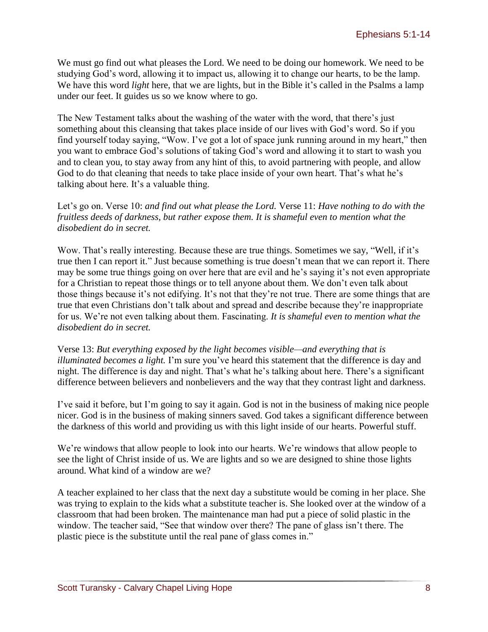We must go find out what pleases the Lord. We need to be doing our homework. We need to be studying God's word, allowing it to impact us, allowing it to change our hearts, to be the lamp. We have this word *light* here, that we are lights, but in the Bible it's called in the Psalms a lamp under our feet. It guides us so we know where to go.

The New Testament talks about the washing of the water with the word, that there's just something about this cleansing that takes place inside of our lives with God's word. So if you find yourself today saying, "Wow. I've got a lot of space junk running around in my heart," then you want to embrace God's solutions of taking God's word and allowing it to start to wash you and to clean you, to stay away from any hint of this, to avoid partnering with people, and allow God to do that cleaning that needs to take place inside of your own heart. That's what he's talking about here. It's a valuable thing.

Let's go on. Verse 10: *and find out what please the Lord.* Verse 11: *Have nothing to do with the fruitless deeds of darkness, but rather expose them. It is shameful even to mention what the disobedient do in secret.* 

Wow. That's really interesting. Because these are true things. Sometimes we say, "Well, if it's true then I can report it." Just because something is true doesn't mean that we can report it. There may be some true things going on over here that are evil and he's saying it's not even appropriate for a Christian to repeat those things or to tell anyone about them. We don't even talk about those things because it's not edifying. It's not that they're not true. There are some things that are true that even Christians don't talk about and spread and describe because they're inappropriate for us. We're not even talking about them. Fascinating. *It is shameful even to mention what the disobedient do in secret.*

Verse 13: *But everything exposed by the light becomes visible—and everything that is illuminated becomes a light.* I'm sure you've heard this statement that the difference is day and night. The difference is day and night. That's what he's talking about here. There's a significant difference between believers and nonbelievers and the way that they contrast light and darkness.

I've said it before, but I'm going to say it again. God is not in the business of making nice people nicer. God is in the business of making sinners saved. God takes a significant difference between the darkness of this world and providing us with this light inside of our hearts. Powerful stuff.

We're windows that allow people to look into our hearts. We're windows that allow people to see the light of Christ inside of us. We are lights and so we are designed to shine those lights around. What kind of a window are we?

A teacher explained to her class that the next day a substitute would be coming in her place. She was trying to explain to the kids what a substitute teacher is. She looked over at the window of a classroom that had been broken. The maintenance man had put a piece of solid plastic in the window. The teacher said, "See that window over there? The pane of glass isn't there. The plastic piece is the substitute until the real pane of glass comes in."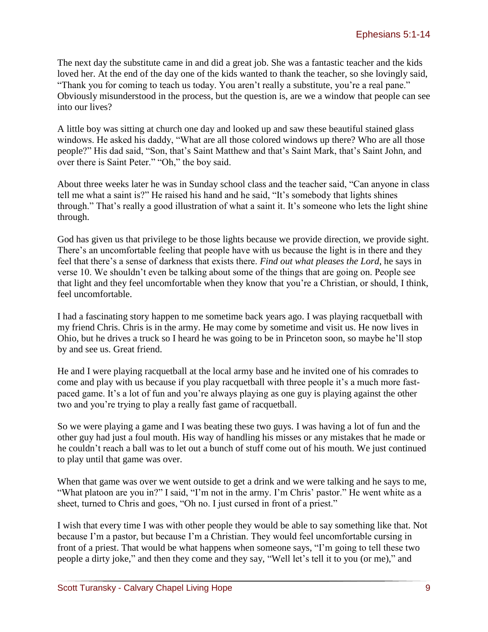The next day the substitute came in and did a great job. She was a fantastic teacher and the kids loved her. At the end of the day one of the kids wanted to thank the teacher, so she lovingly said, "Thank you for coming to teach us today. You aren't really a substitute, you're a real pane." Obviously misunderstood in the process, but the question is, are we a window that people can see into our lives?

A little boy was sitting at church one day and looked up and saw these beautiful stained glass windows. He asked his daddy, "What are all those colored windows up there? Who are all those people?" His dad said, "Son, that's Saint Matthew and that's Saint Mark, that's Saint John, and over there is Saint Peter." "Oh," the boy said.

About three weeks later he was in Sunday school class and the teacher said, "Can anyone in class tell me what a saint is?" He raised his hand and he said, "It's somebody that lights shines through." That's really a good illustration of what a saint it. It's someone who lets the light shine through.

God has given us that privilege to be those lights because we provide direction, we provide sight. There's an uncomfortable feeling that people have with us because the light is in there and they feel that there's a sense of darkness that exists there. *Find out what pleases the Lord*, he says in verse 10. We shouldn't even be talking about some of the things that are going on. People see that light and they feel uncomfortable when they know that you're a Christian, or should, I think, feel uncomfortable.

I had a fascinating story happen to me sometime back years ago. I was playing racquetball with my friend Chris. Chris is in the army. He may come by sometime and visit us. He now lives in Ohio, but he drives a truck so I heard he was going to be in Princeton soon, so maybe he'll stop by and see us. Great friend.

He and I were playing racquetball at the local army base and he invited one of his comrades to come and play with us because if you play racquetball with three people it's a much more fastpaced game. It's a lot of fun and you're always playing as one guy is playing against the other two and you're trying to play a really fast game of racquetball.

So we were playing a game and I was beating these two guys. I was having a lot of fun and the other guy had just a foul mouth. His way of handling his misses or any mistakes that he made or he couldn't reach a ball was to let out a bunch of stuff come out of his mouth. We just continued to play until that game was over.

When that game was over we went outside to get a drink and we were talking and he says to me, "What platoon are you in?" I said, "I'm not in the army. I'm Chris' pastor." He went white as a sheet, turned to Chris and goes, "Oh no. I just cursed in front of a priest."

I wish that every time I was with other people they would be able to say something like that. Not because I'm a pastor, but because I'm a Christian. They would feel uncomfortable cursing in front of a priest. That would be what happens when someone says, "I'm going to tell these two people a dirty joke," and then they come and they say, "Well let's tell it to you (or me)," and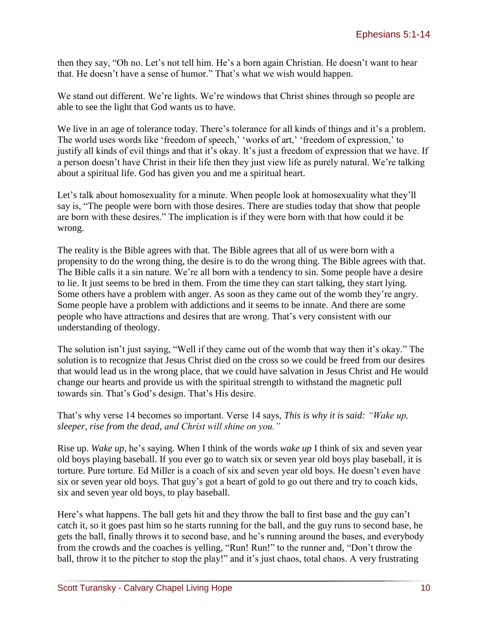then they say, "Oh no. Let's not tell him. He's a born again Christian. He doesn't want to hear that. He doesn't have a sense of humor." That's what we wish would happen.

We stand out different. We're lights. We're windows that Christ shines through so people are able to see the light that God wants us to have.

We live in an age of tolerance today. There's tolerance for all kinds of things and it's a problem. The world uses words like 'freedom of speech,' 'works of art,' 'freedom of expression,' to justify all kinds of evil things and that it's okay. It's just a freedom of expression that we have. If a person doesn't have Christ in their life then they just view life as purely natural. We're talking about a spiritual life. God has given you and me a spiritual heart.

Let's talk about homosexuality for a minute. When people look at homosexuality what they'll say is, "The people were born with those desires. There are studies today that show that people are born with these desires." The implication is if they were born with that how could it be wrong.

The reality is the Bible agrees with that. The Bible agrees that all of us were born with a propensity to do the wrong thing, the desire is to do the wrong thing. The Bible agrees with that. The Bible calls it a sin nature. We're all born with a tendency to sin. Some people have a desire to lie. It just seems to be bred in them. From the time they can start talking, they start lying. Some others have a problem with anger. As soon as they came out of the womb they're angry. Some people have a problem with addictions and it seems to be innate. And there are some people who have attractions and desires that are wrong. That's very consistent with our understanding of theology.

The solution isn't just saying, "Well if they came out of the womb that way then it's okay." The solution is to recognize that Jesus Christ died on the cross so we could be freed from our desires that would lead us in the wrong place, that we could have salvation in Jesus Christ and He would change our hearts and provide us with the spiritual strength to withstand the magnetic pull towards sin. That's God's design. That's His desire.

That's why verse 14 becomes so important. Verse 14 says, *This is why it is said: "Wake up, sleeper, rise from the dead, and Christ will shine on you."*

Rise up. *Wake up,* he's saying. When I think of the words *wake up* I think of six and seven year old boys playing baseball. If you ever go to watch six or seven year old boys play baseball, it is torture. Pure torture. Ed Miller is a coach of six and seven year old boys. He doesn't even have six or seven year old boys. That guy's got a heart of gold to go out there and try to coach kids, six and seven year old boys, to play baseball.

Here's what happens. The ball gets hit and they throw the ball to first base and the guy can't catch it, so it goes past him so he starts running for the ball, and the guy runs to second base, he gets the ball, finally throws it to second base, and he's running around the bases, and everybody from the crowds and the coaches is yelling, "Run! Run!" to the runner and, "Don't throw the ball, throw it to the pitcher to stop the play!" and it's just chaos, total chaos. A very frustrating